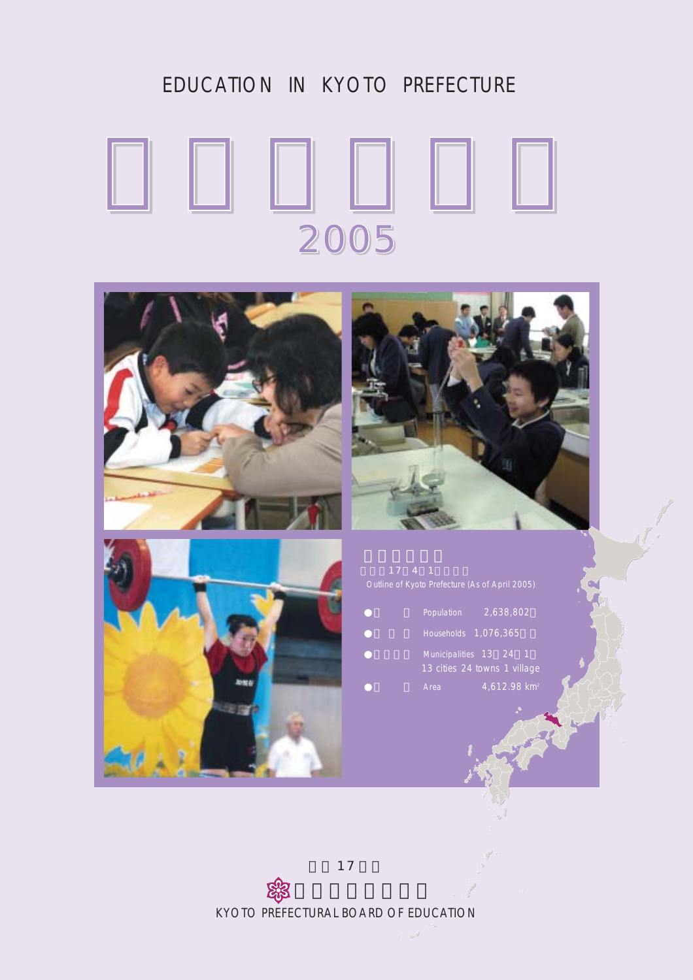## EDUCATION IN KYOTO PREFECTURE

## 2005







| Population | 2,638,802                                              |
|------------|--------------------------------------------------------|
|            | Households 1,076,365                                   |
|            | Municipalities 13 24 1<br>13 cities 24 towns 1 village |
| Area       | $4,612.98$ km <sup>2</sup>                             |

17

 京都府教育委員会 KYOTO PREFECTURAL BOARD OF EDUCATION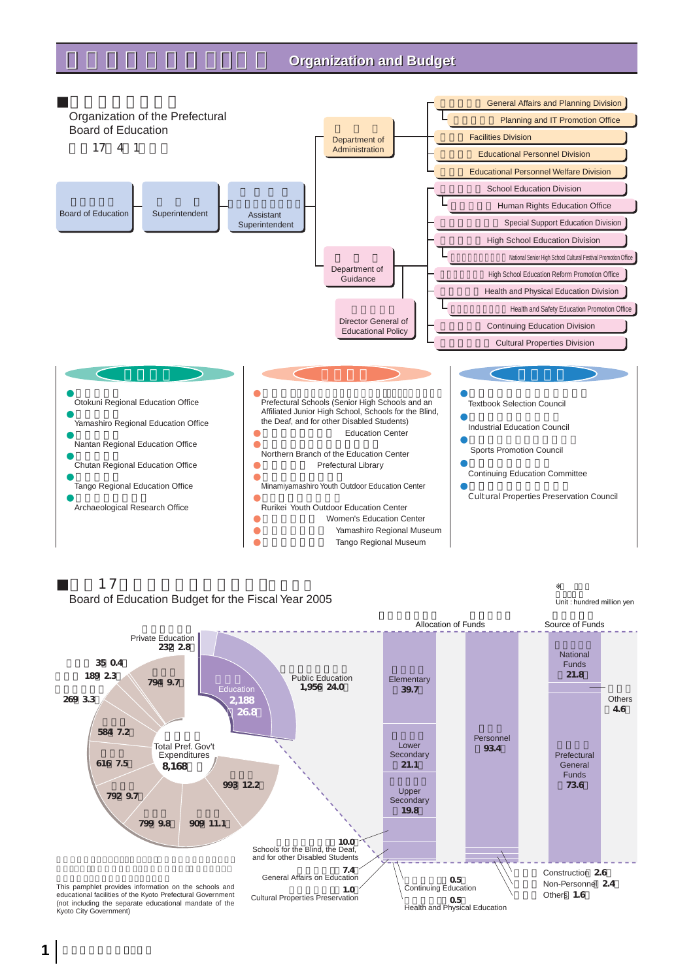## **Organization and Budget**



### $17$ Board of Education Budget for the Fiscal Year 2005

単位 億円 Unit : hundred million yen

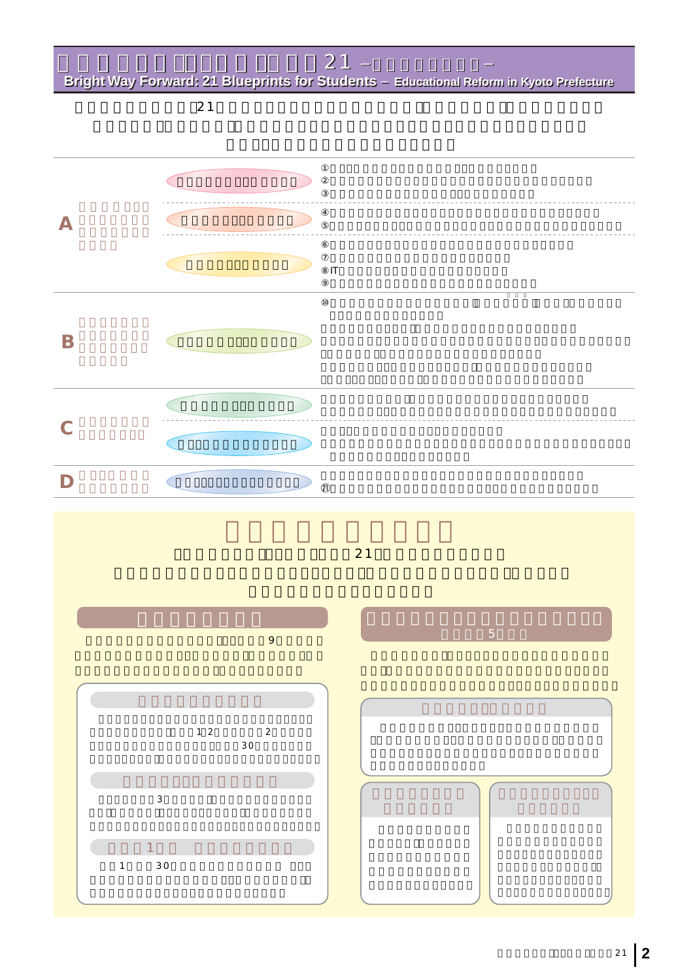「京の子ども、夢・未来」プラン21 京都府の教育改革-  $\sim$  7  $\sim$  7  $\sim$  7  $\sim$  7  $\sim$  7  $\sim$  7  $\sim$  7  $\sim$  7  $\sim$  7  $\sim$  7  $\sim$  7  $\sim$  7  $\sim$  7  $\sim$  7  $\sim$  7  $\sim$  7  $\sim$  7  $\sim$  7  $\sim$  7  $\sim$  7  $\sim$  7  $\sim$  7  $\sim$  7  $\sim$  7  $\sim$  7  $\sim$  7  $\sim$  7  $\sim$  7  $\sim$  7  $\sim$  7  $\sim$  7  $\sim$ 

**Bright Way Forward: 21 Blueprints for Students Educational Reform in Kyoto Prefecture Bright Way Forward: 21 Blueprints for Students Educational Reform in Kyoto Prefecture**

 $21$ 

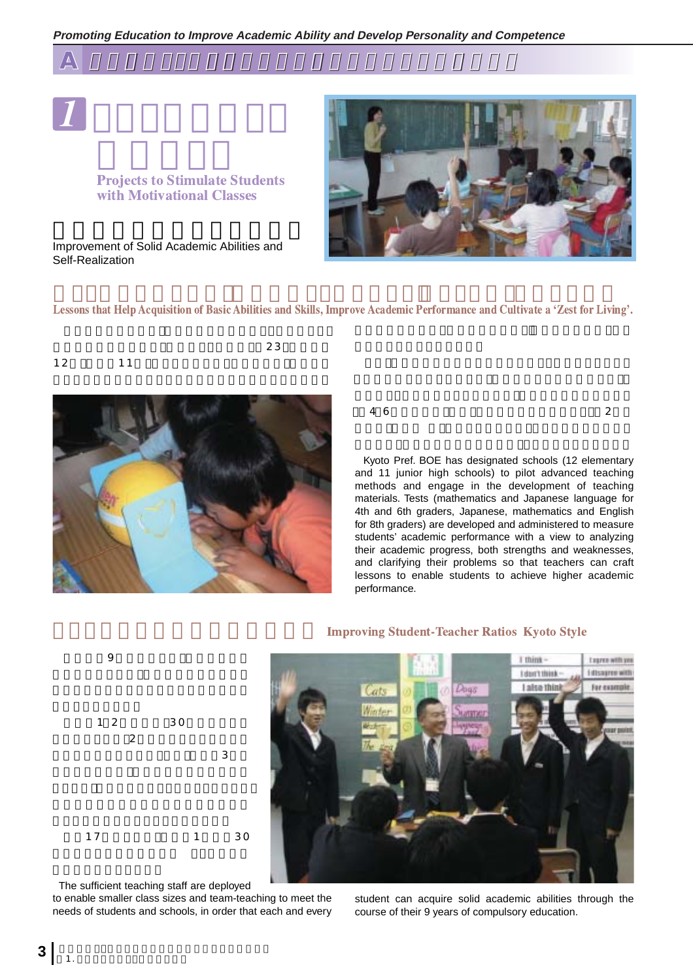



## **Projects to Stimulate Students** with Motivational Classes

Improvement of Solid Academic Abilities and Self-Realization



Lessons that Help Acquisition of Basic Abilities and Skills, Improve Academic Performance and Cultivate a 'Zest for Living'.



 $46$   $2$ 

Kyoto Pref. BOE has designated schools (12 elementary and 11 junior high schools) to pilot advanced teaching methods and engage in the development of teaching materials. Tests (mathematics and Japanese language for 4th and 6th graders, Japanese, mathematics and English for 8th graders) are developed and administered to measure students' academic performance with a view to analyzing their academic progress, both strengths and weaknesses, and clarifying their problems so that teachers can craft lessons to enable students to achieve higher academic performance.



#### 구**차가 가장 가장 가장 가장 가장 가장 가장 가장 가장 가장 가장** roving Student-Teacher Ratios Kyoto Style



The sufficient teaching staff are deployed

1.  $\sim$   $\sim$   $\sim$   $\sim$   $\sim$   $\sim$ 

to enable smaller class sizes and team-teaching to meet the needs of students and schools, in order that each and every student can acquire solid academic abilities through the course of their 9 years of compulsory education.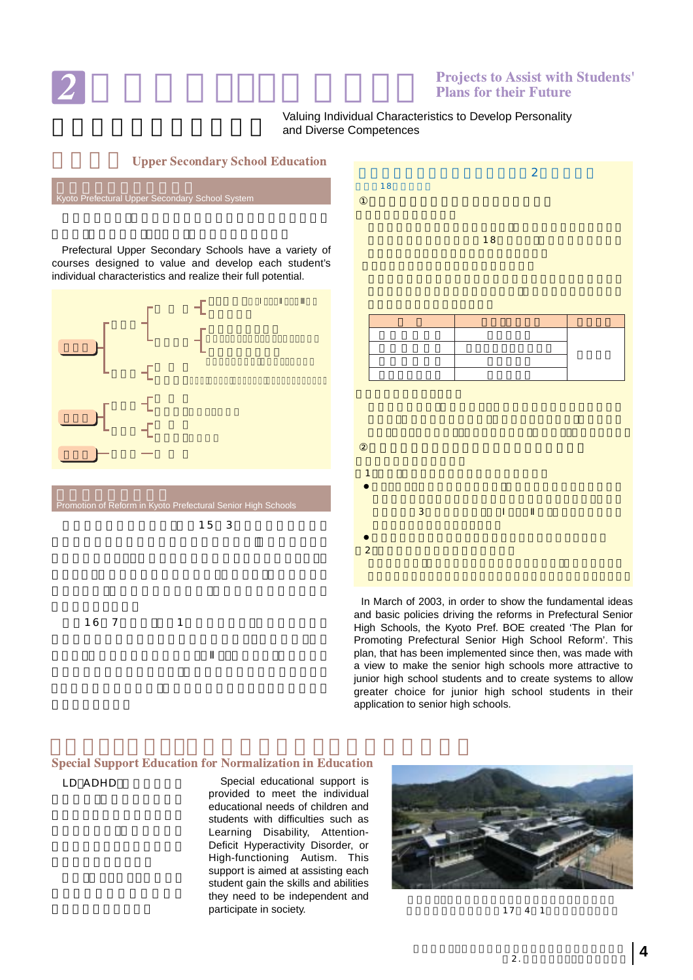

## **Projects to Assist with Students' Plans for their Future**

### Valuing Individual Characteristics to Develop Personality and Diverse Competences



**Upper Secondary School Education** 



In March of 2003, in order to show the fundamental ideas and basic policies driving the reforms in Prefectural Senior High Schools, the Kyoto Pref. BOE created 'The Plan for Promoting Prefectural Senior High School Reform'. This plan, that has been implemented since then, was made with a view to make the senior high schools more attractive to junior high school students and to create systems to allow greater choice for junior high school students in their application to senior high schools.

## **Special Support Education for Normalization in Education**

LD ADHD

Special educational support is provided to meet the individual educational needs of children and students with difficulties such as Learning Disability, Attention-Deficit Hyperactivity Disorder, or High-functioning Autism. This support is aimed at assisting each student gain the skills and abilities they need to be independent and participate in society.



 $17 \quad 4 \quad 1$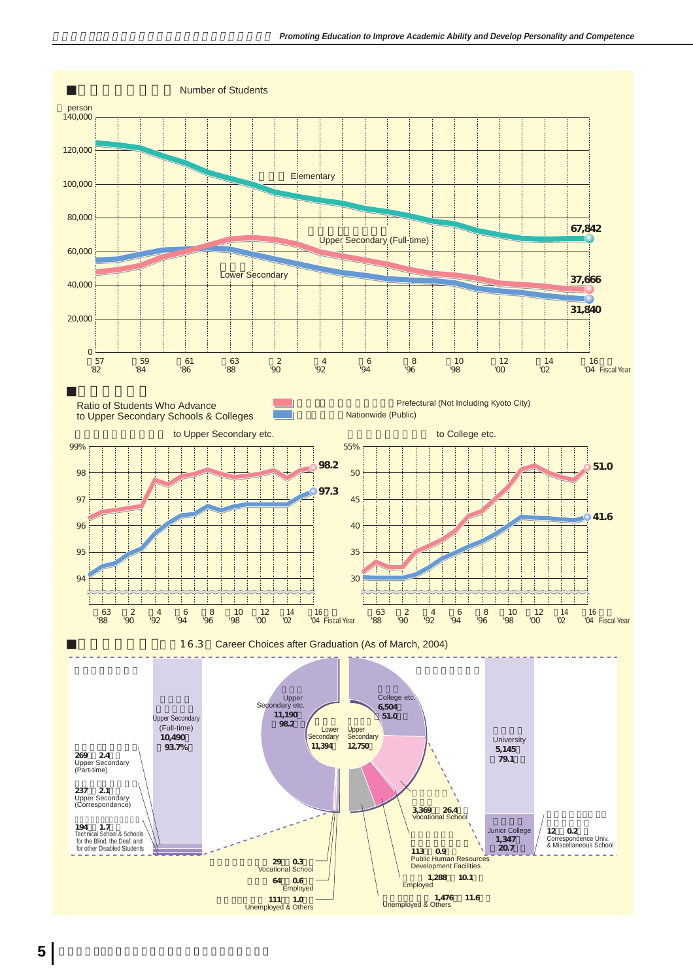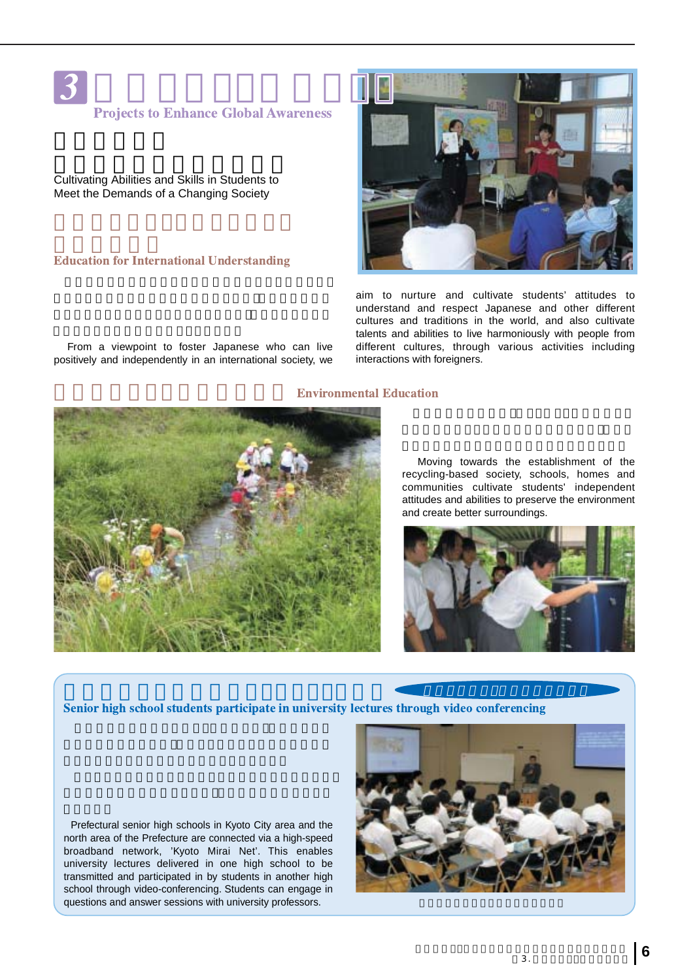

## **Projects to Enhance Global Awareness**

Cultivating Abilities and Skills in Students to Meet the Demands of a Changing Society

### **Education for International Understanding**

From a viewpoint to foster Japanese who can live positively and independently in an international society, we



aim to nurture and cultivate students' attitudes to understand and respect Japanese and other different cultures and traditions in the world, and also cultivate talents and abilities to live harmoniously with people from different cultures, through various activities including interactions with foreigners.

### vironmental Education



**大学の講義を府立高校にリアルタイ 配信** 

Moving towards the establishment of the recycling-based society, schools, homes and communities cultivate students' independent attitudes and abilities to preserve the environment and create better surroundings.



Senior high school students participate in university lectures through video conferencing

Prefectural senior high schools in Kyoto City area and the north area of the Prefecture are connected via a high-speed broadband network, 'Kyoto Mirai Net'. This enables university lectures delivered in one high school to be transmitted and participated in by students in another high school through video-conferencing. Students can engage in questions and answer sessions with university professors.

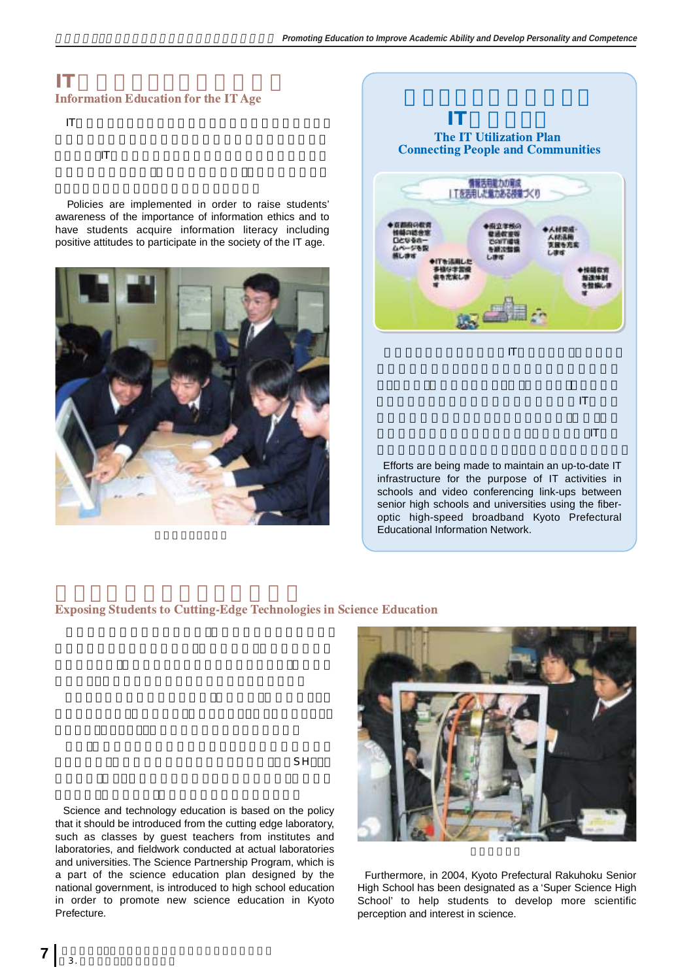## **IT時代にふさわしい情報教育 Information Education for the IT Age**

IT set  $\mathbf{F}$ 

とともに、ITの特性を生かした魅力ある授業や交流学習など

Policies are implemented in order to raise students' awareness of the importance of information ethics and to have students acquire information literacy including positive attitudes to participate in the society of the IT age.





infrastructure for the purpose of IT activities in schools and video conferencing link-ups between senior high schools and universities using the fiberoptic high-speed broadband Kyoto Prefectural Educational Information Network.

## **Exposing Students to Cutting-Edge Technologies in Science Education**



Science and technology education is based on the policy that it should be introduced from the cutting edge laboratory, such as classes by guest teachers from institutes and laboratories, and fieldwork conducted at actual laboratories and universities. The Science Partnership Program, which is a part of the science education plan designed by the national government, is introduced to high school education in order to promote new science education in Kyoto Prefecture.

 $\mathsf{SH}$ 

Furthermore, in 2004, Kyoto Prefectural Rakuhoku Senior High School has been designated as a 'Super Science High School' to help students to develop more scientific perception and interest in science.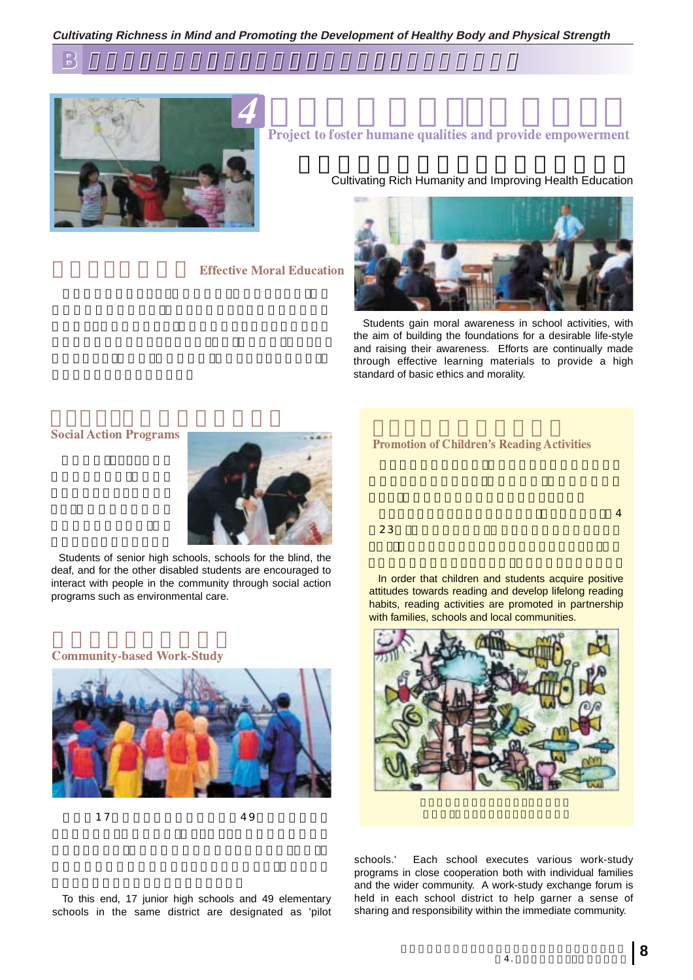**Cultivating Richness in Mind and Promoting the Development of Healthy Body and Physical Strength**

**B** 豊かな人間性の育成と健康や体力の向上を図る教育の充実 豊かな人間性の育成と健康や体力の向上を図る教育の充実



**Effective Moral Education** 

# **Project to foster humane qualities and provide empowerment**

**Cultivating Rich Humanity and Improving Health Education** 



Students gain moral awareness in school activities, with the aim of building the foundations for a desirable life-style and raising their awareness. Efforts are continually made through effective learning materials to provide a high standard of basic ethics and morality.

### **Social Action P**



Students of senior high schools, schools for the blind, the deaf, and for the other disabled students are encouraged to interact with people in the community through social action programs such as environmental care.

#### **Community-based Work-Study**



 $17$  49

## **Promotion of Children's Reading Activities**

 $23$ 

In order that children and students acquire positive attitudes towards reading and develop lifelong reading habits, reading activities are promoted in partnership with families, schools and local communities.

구성은 대한 대학 대학 대학 대학 대학 대학 대학 대학



To this end, 17 junior high schools and 49 elementary schools in the same district are designated as 'pilot schools.' Each school executes various work-study programs in close cooperation both with individual families and the wider community. A work-study exchange forum is held in each school district to help garner a sense of sharing and responsibility within the immediate community.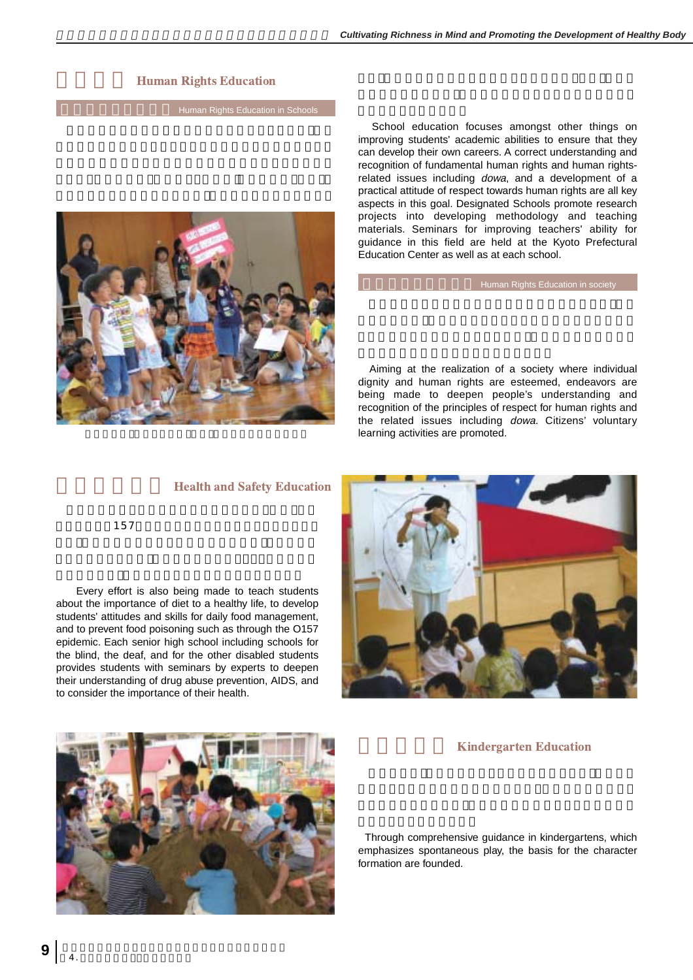## **Human Rights Education**

**Human Rights Education in Schoo** 



School education focuses amongst other things on improving students' academic abilities to ensure that they can develop their own careers. A correct understanding and recognition of fundamental human rights and human rightsrelated issues including dowa, and a development of a practical attitude of respect towards human rights are all key aspects in this goal. Designated Schools promote research projects into developing methodology and teaching materials. Seminars for improving teachers' ability for guidance in this field are held at the Kyoto Prefectural Education Center as well as at each school.

Human Rights Education in society

Aiming at the realization of a society where individual dignity and human rights are esteemed, endeavors are being made to deepen people's understanding and recognition of the principles of respect for human rights and the related issues including dowa. Citizens' voluntary learning activities are promoted.





Every effort is also being made to teach students about the importance of diet to a healthy life, to develop students' attitudes and skills for daily food management, and to prevent food poisoning such as through the O157 epidemic. Each senior high school including schools for the blind, the deaf, and for the other disabled students provides students with seminars by experts to deepen their understanding of drug abuse prevention, AIDS, and to consider the importance of their health.



## **Kindergarten Education**

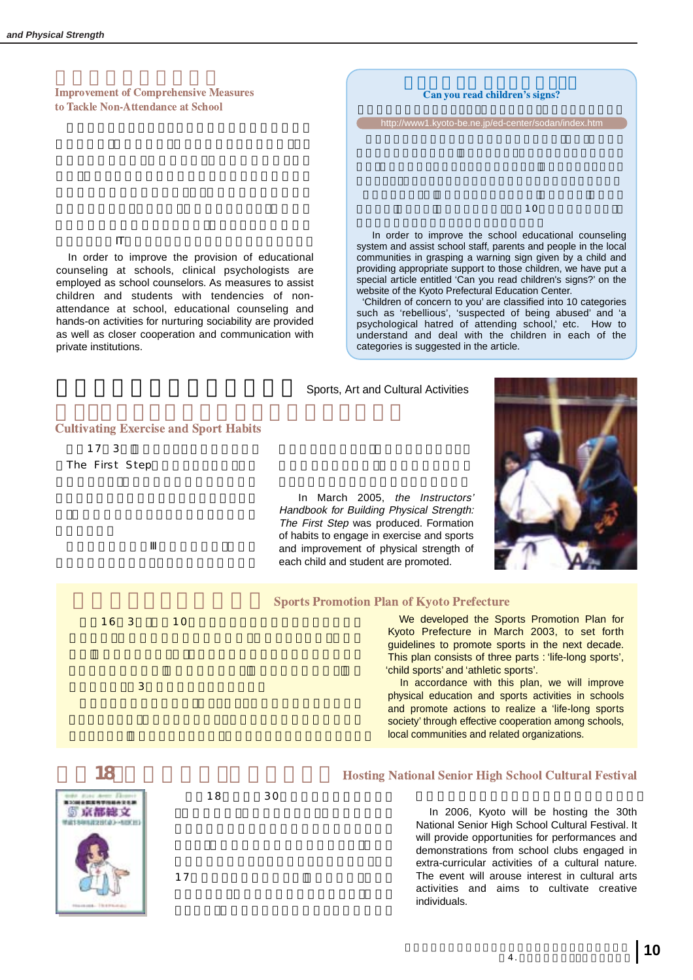**Improvement of Comprehensive Measures** to Tackle Non-Attendance at School

生徒に対してIT等を活用した相談や学習支援を行います。

In order to improve the provision of educational counseling at schools, clinical psychologists are employed as school counselors. As measures to assist children and students with tendencies of nonattendance at school, educational counseling and hands-on activities for nurturing sociability are provided as well as closer cooperation and communication with private institutions.



providing appropriate support to those children, we have put a special article entitled 'Can you read children's signs?' on the website of the Kyoto Prefectural Education Center. 'Children of concern to you' are classified into 10 categories

such as 'rebellious', 'suspected of being abused' and 'a psychological hatred of attending school,' etc. How to understand and deal with the children in each of the categories is suggested in the article.

### **Sports, Art and Cultural Activities**

**Cultivating Exercise and Sport Habits** 

17 3 The First Step

> In March 2005, the Instructors' Handbook for Building Physical Strength: The First Step was produced. Formation of habits to engage in exercise and sports and improvement of physical strength of each child and student are promoted.



| 16 <sub>3</sub><br>10 | <b>Sports Promotion Plan of Kyoto Prefecture</b><br>We developed the Sports Promotion Plan for<br>Kyoto Prefecture in March 2003, to set forth<br>guidelines to promote sports in the next decade.<br>This plan consists of three parts : 'life-long sports',<br>'child sports' and 'athletic sports'. |
|-----------------------|--------------------------------------------------------------------------------------------------------------------------------------------------------------------------------------------------------------------------------------------------------------------------------------------------------|
| 3                     | In accordance with this plan, we will improve<br>physical education and sports activities in schools<br>and promote actions to realize a 'life-long sports'<br>society' through effective cooperation among schools,<br>local communities and related organizations.                                   |
|                       | <b>Hosting National Senior High School Cultural Festival</b>                                                                                                                                                                                                                                           |



 $18$  30

17 $\blacksquare$ 

In 2006, Kyoto will be hosting the 30th National Senior High School Cultural Festival. It will provide opportunities for performances and demonstrations from school clubs engaged in extra-curricular activities of a cultural nature. The event will arouse interest in cultural arts activities and aims to cultivate creative individuals.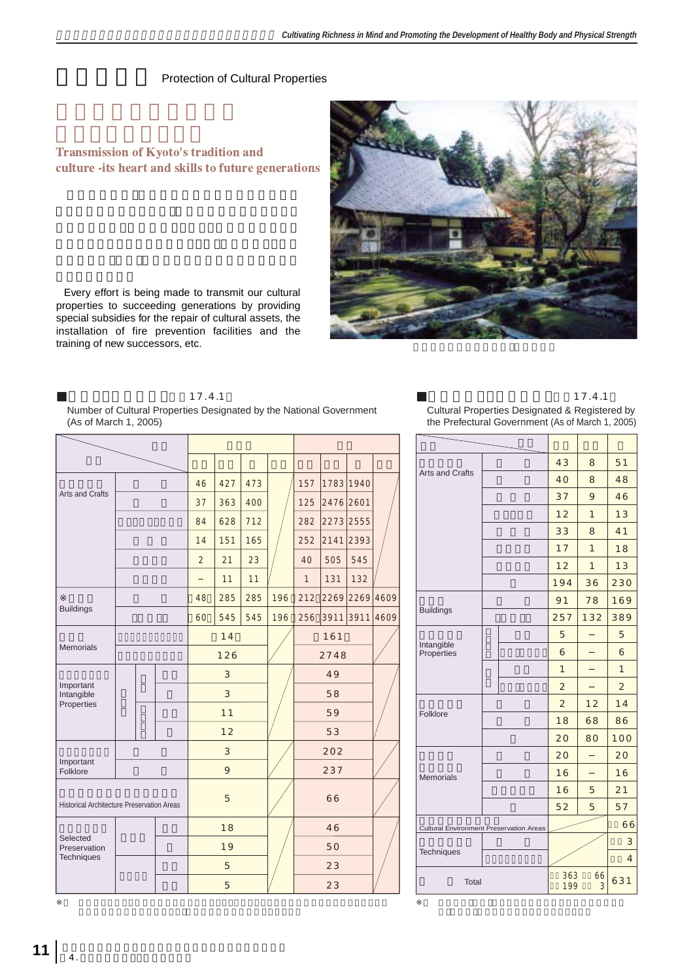## **Protection of Cultural Properties**

## Transmission of Kyoto's tradition and culture -its heart and skills to future generations



Every effort is being made to transmit our cultural properties to succeeding generations by providing special subsidies for the repair of cultural assets, the installation of fire prevention facilities and the training of new successors, etc.

(As of March 1, 2005)

17.4.1

## Number of Cultural Properties Designated by the National Government

|                                                   |  |   |     |                |     |      |                |                  |                |                |           |                 |                                                | 43 | 8                                  | 51             |                |                |  |              |
|---------------------------------------------------|--|---|-----|----------------|-----|------|----------------|------------------|----------------|----------------|-----------|-----------------|------------------------------------------------|----|------------------------------------|----------------|----------------|----------------|--|--------------|
| Arts and Crafts                                   |  |   |     | 46             | 427 | 473  |                | 1783 1940<br>157 |                |                |           | Arts and Crafts |                                                |    | 40                                 | 8              | 48             |                |  |              |
|                                                   |  |   | 37  | 363            | 400 |      | 125            | 2476 2601        |                |                |           |                 |                                                |    |                                    | 9              | 46             |                |  |              |
|                                                   |  |   | 84  | 628            | 712 |      | 282            |                  | 2273 2555      |                |           |                 |                                                |    | 12                                 | $\mathbf{1}$   | 13             |                |  |              |
|                                                   |  |   |     | 14             | 151 | 165  |                | 252              |                | 2141 2393      |           |                 |                                                |    |                                    |                | 8              | 41             |  |              |
|                                                   |  |   |     | $\overline{2}$ | 21  | 23   |                | 40               | 505            | 545            |           |                 |                                                |    |                                    | 17             | $\mathbf{1}$   | 18             |  |              |
|                                                   |  |   |     |                | 11  | 11   |                | $\mathbf{1}$     | 131            | 132            |           |                 |                                                |    |                                    | 12             | $\overline{1}$ | 13             |  |              |
|                                                   |  |   |     |                |     |      |                |                  |                |                |           |                 |                                                |    |                                    | 194            | 36             | 23C            |  |              |
| <b>Buildings</b>                                  |  |   |     | 48             | 285 | 285  | 196            | 212              |                | 2269 2269 4609 |           |                 | <b>Buildings</b>                               |    |                                    | 91             | 78             | 169            |  |              |
|                                                   |  |   | 60  | 545            | 545 | 196  | 256            |                  | 3911 3911 4609 |                |           |                 |                                                |    | 257                                | 132            | 389            |                |  |              |
| <b>Memorials</b>                                  |  |   |     | 14             |     |      |                | 161              |                |                |           | Intangible      |                                                |    | 5                                  |                | 5              |                |  |              |
|                                                   |  |   | 126 |                |     | 2748 |                |                  |                | Properties     |           |                 | 6                                              |    | 6                                  |                |                |                |  |              |
|                                                   |  |   |     |                |     |      | $\mathfrak{S}$ |                  |                |                | 49        |                 |                                                |    |                                    |                |                | $\mathbf{1}$   |  | $\mathbf{1}$ |
| Important<br>Intangible                           |  |   |     |                | 3   |      |                |                  | 58             |                |           |                 |                                                |    |                                    | $\overline{2}$ |                | $\overline{2}$ |  |              |
| Properties                                        |  |   |     |                | 11  |      |                |                  | 59             |                |           |                 | Folklore                                       |    |                                    | $\overline{2}$ | 12             | 14             |  |              |
|                                                   |  |   |     | 12             |     |      |                | 53               |                |                |           |                 |                                                |    | 18                                 | 68             | 86             |                |  |              |
|                                                   |  |   |     | $\mathfrak{S}$ |     |      | 202            |                  |                |                |           |                 |                                                | 20 | 80                                 | 100            |                |                |  |              |
| Important                                         |  |   |     |                |     |      |                |                  |                |                |           |                 |                                                | 20 |                                    | 20             |                |                |  |              |
| Folklore                                          |  |   | 9   |                |     |      | 237            |                  |                |                | Memorials |                 |                                                | 16 |                                    | 16             |                |                |  |              |
|                                                   |  | 5 |     |                |     | 66   |                |                  |                |                |           |                 | 16                                             | 5  | 21                                 |                |                |                |  |              |
| <b>Historical Architecture Preservation Areas</b> |  |   |     |                |     |      |                |                  |                |                |           |                 | 52                                             | 5  | 57                                 |                |                |                |  |              |
|                                                   |  |   |     | 18             |     |      |                | 46               |                |                |           |                 | <b>Cultural Environment Preservation Areas</b> |    |                                    |                | 6              |                |  |              |
| Selected<br>Preservation                          |  |   |     | 19             |     |      |                | 50               |                |                |           | Techniques      |                                                |    |                                    |                |                |                |  |              |
| <b>Techniques</b>                                 |  |   |     |                | 5   |      |                |                  | 23             |                |           |                 |                                                |    |                                    |                |                | $\overline{a}$ |  |              |
|                                                   |  |   |     |                | 5   |      |                |                  | 23             |                |           |                 | Total                                          |    | 363<br>66<br>199<br>$\mathfrak{Z}$ |                | 631            |                |  |              |

17.4.1 Cultural Properties Designated & Registered by the Prefectural Government (As of March 1, 2005)

|                                                |            | 43             | 8              | 51             |
|------------------------------------------------|------------|----------------|----------------|----------------|
| <b>Arts and Crafts</b>                         |            | 40             | 8              | 48             |
|                                                |            | 37             | 9              | 46             |
|                                                |            | 12             | $\mathbf{1}$   | 13             |
|                                                |            | 33             | 8              | 41             |
|                                                |            | 17             | $\overline{1}$ | 18             |
|                                                |            | 12             | $\overline{1}$ | 13             |
|                                                |            | 194            | 36             | 230            |
|                                                |            | 91             | 78             | 169            |
| <b>Buildings</b>                               |            | 257            | 132            | 389            |
|                                                |            | 5              |                | 5              |
| Intangible<br>Properties                       |            | 6              |                | 6              |
|                                                |            | 1              |                | $\overline{1}$ |
|                                                |            | $\overline{2}$ |                | $\overline{2}$ |
|                                                |            | $\overline{2}$ | 12             | 14             |
| Folklore                                       |            | 18             | 68             | 86             |
|                                                |            | 20             | 80             | 100            |
|                                                |            | 20             |                | 20             |
| Memorials                                      |            | 16             |                | 16             |
|                                                |            | 16             | 5              | 21             |
|                                                |            | 52             | 5              | 57             |
| <b>Cultural Environment Preservation Areas</b> |            | 66             |                |                |
|                                                |            |                | 3              |                |
| Techniques                                     |            |                | $\overline{4}$ |                |
| Total                                          | 363<br>199 | 631            |                |                |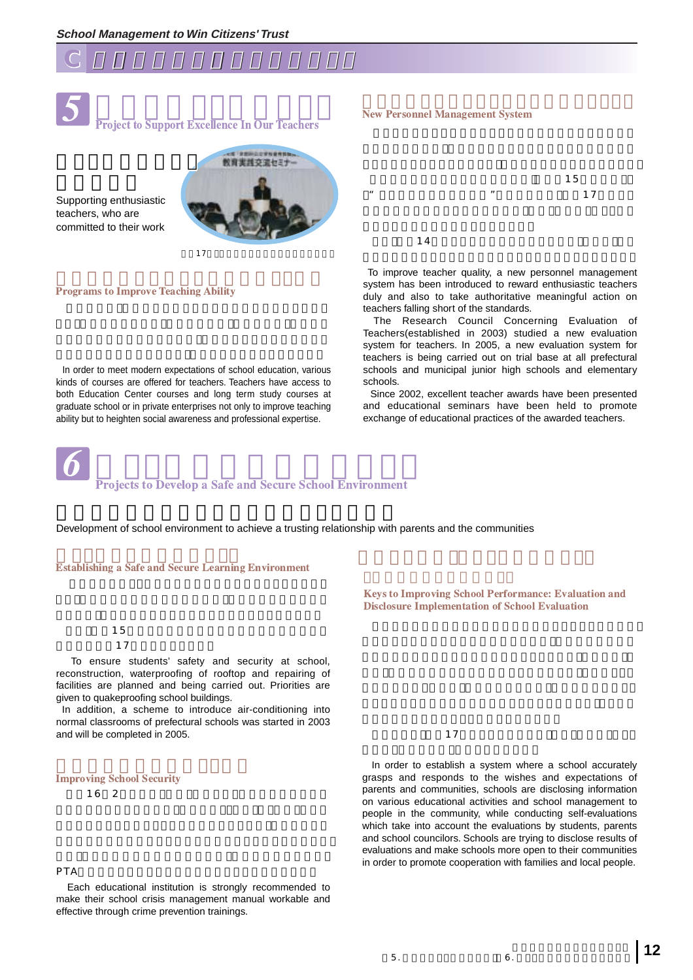



**SANCE A THE SECOND SECONDE SYSTEM SERVICE A THE STATE OF THE STATE OF THE SECONDE SYSTEM SERVICE A THE STATE OF THE STATE OF THE STATE OF THE STATE OF THE STATE OF THE STATE OF THE STATE OF THE STATE OF THE STATE OF THE S** Project to Support Excellence In Our Teachers

Supporting enthusiastic teachers, who are committed to their work



## **Programs to Improve Teaching Ability**

In order to meet modern expectations of school education, various kinds of courses are offered for teachers. Teachers have access to both Education Center courses and long term study courses at graduate school or in private enterprises not only to improve teaching ability but to heighten social awareness and professional expertise.



## **Projects to Develop a Safe and Secure School Environment**

Development of school environment to achieve a trusting relationship with parents and the communities

**Establishing a Safe and Secure Learning Environment** 

 $15$  $\overline{17}$ 

To ensure students' safety and security at school, reconstruction, waterproofing of rooftop and repairing of facilities are planned and being carried out. Priorities are given to quakeproofing school buildings.

In addition, a scheme to introduce air-conditioning into normal classrooms of prefectural schools was started in 2003 and will be completed in 2005.

## **Improving School Security**

16 2

### $PTA$

Each educational institution is strongly recommended to make their school crisis management manual workable and effective through crime prevention trainings.



To improve teacher quality, a new personnel management system has been introduced to reward enthusiastic teachers duly and also to take authoritative meaningful action on teachers falling short of the standards.

The Research Council Concerning Evaluation of Teachers(established in 2003) studied a new evaluation system for teachers. In 2005, a new evaluation system for teachers is being carried out on trial base at all prefectural schools and municipal junior high schools and elementary schools.

Since 2002, excellent teacher awards have been presented and educational seminars have been held to promote exchange of educational practices of the awarded teachers.

**Keys to Improving School Performance: Evaluation and Disclosure Implementation of School Evaluation** 

 $\overline{17}$ 

In order to establish a system where a school accurately grasps and responds to the wishes and expectations of parents and communities, schools are disclosing information on various educational activities and school management to people in the community, while conducting self-evaluations which take into account the evaluations by students, parents and school councilors. Schools are trying to disclose results of evaluations and make schools more open to their communities in order to promote cooperation with families and local people.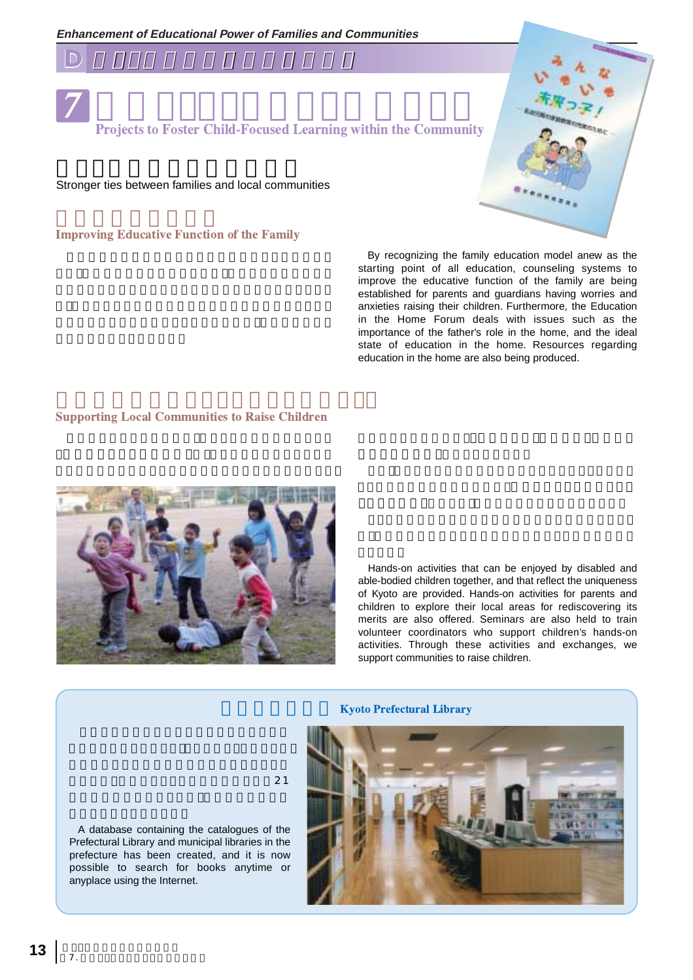



**Projects to Foster Child-Focused Learning within the Community** 

Stronger ties between families and local communities

## **Improving Educative Function of the Family**

By recognizing the family education model anew as the starting point of all education, counseling systems to improve the educative function of the family are being established for parents and guardians having worries and anxieties raising their children. Furthermore, the Education in the Home Forum deals with issues such as the importance of the father's role in the home, and the ideal state of education in the home. Resources regarding education in the home are also being produced.

### **Supporting Local Communities to Raise Children**



Hands-on activities that can be enjoyed by disabled and able-bodied children together, and that reflect the uniqueness of Kyoto are provided. Hands-on activities for parents and children to explore their local areas for rediscovering its merits are also offered. Seminars are also held to train volunteer coordinators who support children's hands-on activities. Through these activities and exchanges, we support communities to raise children.

### **Kyoto Prefectural Library**



 $\sim$  21

A database containing the catalogues of the Prefectural Library and municipal libraries in the prefecture has been created, and it is now possible to search for books anytime or anyplace using the Internet.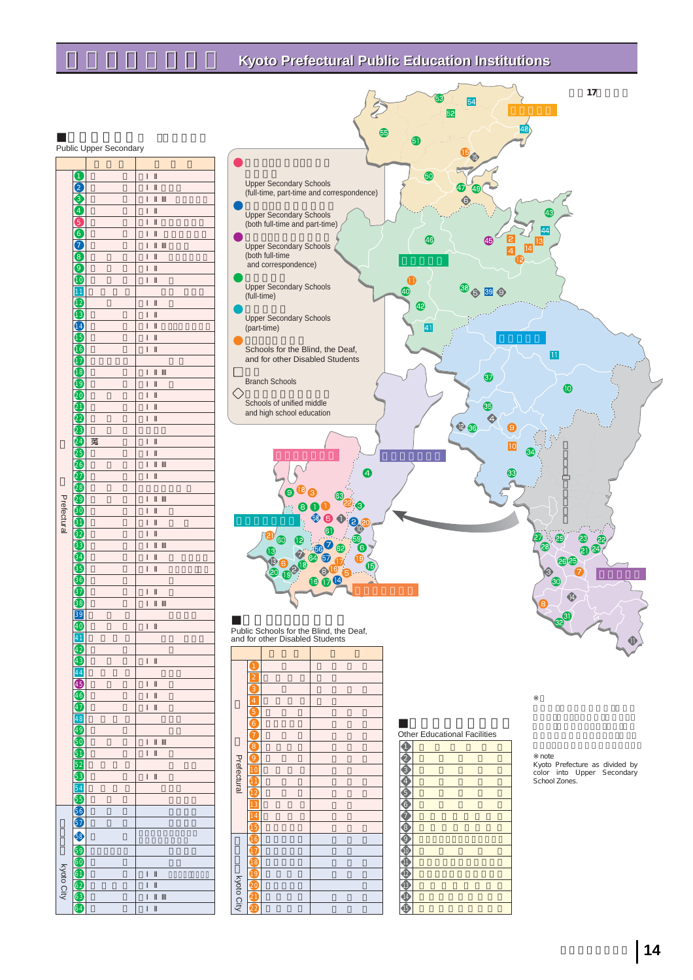## **Kyoto Prefectural Public Education Institutions**